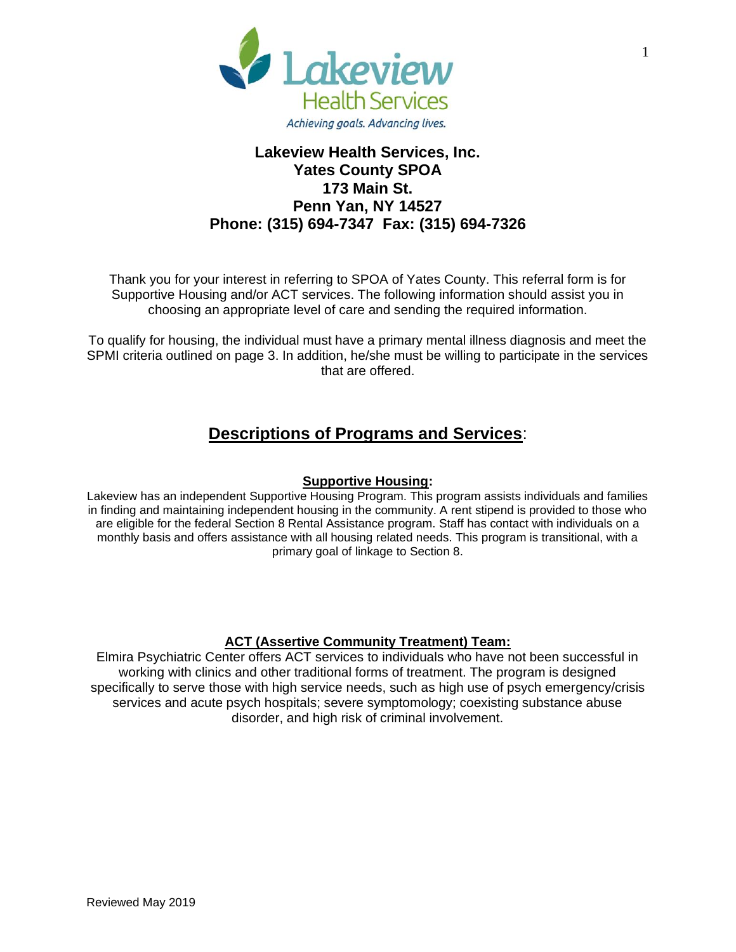

## **Lakeview Health Services, Inc. Yates County SPOA 173 Main St. Penn Yan, NY 14527 Phone: (315) 694-7347 Fax: (315) 694-7326**

Thank you for your interest in referring to SPOA of Yates County. This referral form is for Supportive Housing and/or ACT services. The following information should assist you in choosing an appropriate level of care and sending the required information.

To qualify for housing, the individual must have a primary mental illness diagnosis and meet the SPMI criteria outlined on page 3. In addition, he/she must be willing to participate in the services that are offered.

## **Descriptions of Programs and Services**:

## **Supportive Housing:**

Lakeview has an independent Supportive Housing Program. This program assists individuals and families in finding and maintaining independent housing in the community. A rent stipend is provided to those who are eligible for the federal Section 8 Rental Assistance program. Staff has contact with individuals on a monthly basis and offers assistance with all housing related needs. This program is transitional, with a primary goal of linkage to Section 8.

## **ACT (Assertive Community Treatment) Team:**

Elmira Psychiatric Center offers ACT services to individuals who have not been successful in working with clinics and other traditional forms of treatment. The program is designed specifically to serve those with high service needs, such as high use of psych emergency/crisis services and acute psych hospitals; severe symptomology; coexisting substance abuse disorder, and high risk of criminal involvement.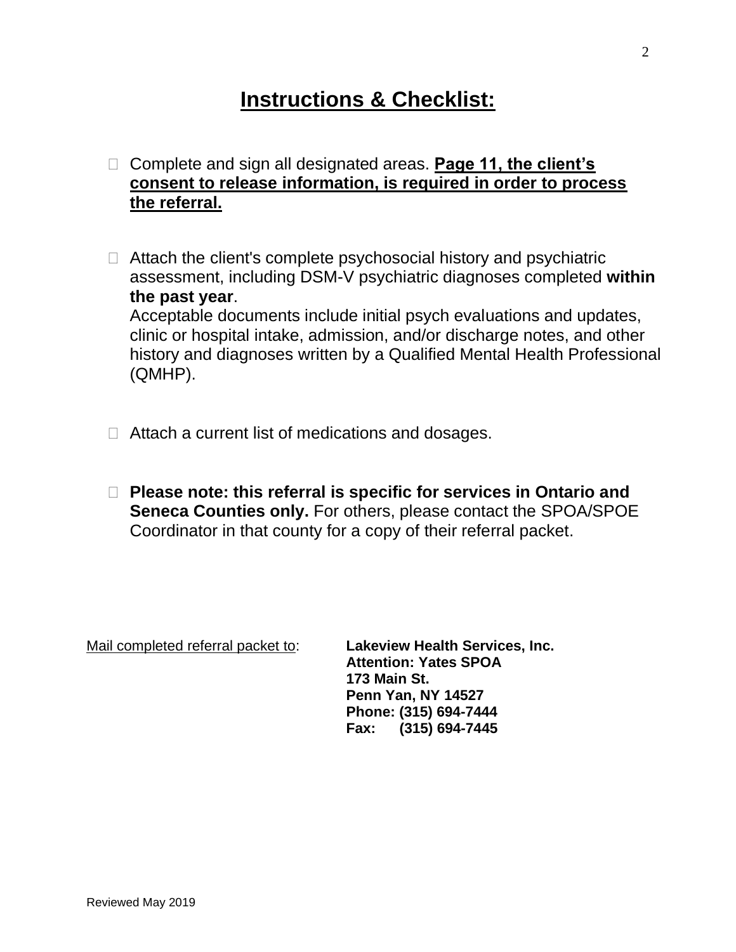# **Instructions & Checklist:**

- □ Complete and sign all designated areas. **Page 11, the client's consent to release information, is required in order to process the referral.**
- □ Attach the client's complete psychosocial history and psychiatric assessment, including DSM-V psychiatric diagnoses completed **within the past year**. Acceptable documents include initial psych evaluations and updates, clinic or hospital intake, admission, and/or discharge notes, and other history and diagnoses written by a Qualified Mental Health Professional (QMHP).
- $\Box$  Attach a current list of medications and dosages.
- **Please note: this referral is specific for services in Ontario and Seneca Counties only.** For others, please contact the SPOA/SPOE Coordinator in that county for a copy of their referral packet.

Mail completed referral packet to: **Lakeview Health Services, Inc.**

**Attention: Yates SPOA 173 Main St. Penn Yan, NY 14527 Phone: (315) 694-7444 Fax: (315) 694-7445**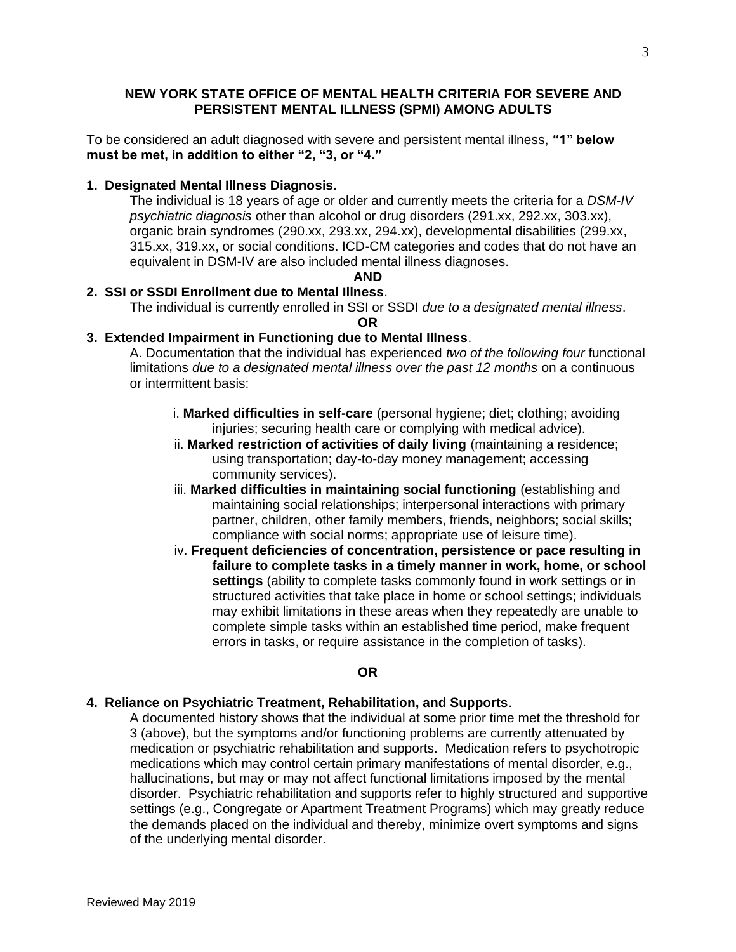#### **NEW YORK STATE OFFICE OF MENTAL HEALTH CRITERIA FOR SEVERE AND PERSISTENT MENTAL ILLNESS (SPMI) AMONG ADULTS**

To be considered an adult diagnosed with severe and persistent mental illness, **"1" below must be met, in addition to either "2, "3, or "4."** 

#### **1. Designated Mental Illness Diagnosis.**

The individual is 18 years of age or older and currently meets the criteria for a *DSM-IV psychiatric diagnosis* other than alcohol or drug disorders (291.xx, 292.xx, 303.xx), organic brain syndromes (290.xx, 293.xx, 294.xx), developmental disabilities (299.xx, 315.xx, 319.xx, or social conditions. ICD-CM categories and codes that do not have an equivalent in DSM-IV are also included mental illness diagnoses.

#### **AND**

#### **2. SSI or SSDI Enrollment due to Mental Illness**.

The individual is currently enrolled in SSI or SSDI *due to a designated mental illness*.

**OR**

### **3. Extended Impairment in Functioning due to Mental Illness**.

A. Documentation that the individual has experienced *two of the following four* functional limitations *due to a designated mental illness over the past 12 months* on a continuous or intermittent basis:

- i. **Marked difficulties in self-care** (personal hygiene; diet; clothing; avoiding injuries; securing health care or complying with medical advice).
- ii. **Marked restriction of activities of daily living** (maintaining a residence; using transportation; day-to-day money management; accessing community services).
- iii. **Marked difficulties in maintaining social functioning** (establishing and maintaining social relationships; interpersonal interactions with primary partner, children, other family members, friends, neighbors; social skills; compliance with social norms; appropriate use of leisure time).
- iv. **Frequent deficiencies of concentration, persistence or pace resulting in failure to complete tasks in a timely manner in work, home, or school settings** (ability to complete tasks commonly found in work settings or in structured activities that take place in home or school settings; individuals may exhibit limitations in these areas when they repeatedly are unable to complete simple tasks within an established time period, make frequent errors in tasks, or require assistance in the completion of tasks).

#### **OR**

#### **4. Reliance on Psychiatric Treatment, Rehabilitation, and Supports**.

A documented history shows that the individual at some prior time met the threshold for 3 (above), but the symptoms and/or functioning problems are currently attenuated by medication or psychiatric rehabilitation and supports. Medication refers to psychotropic medications which may control certain primary manifestations of mental disorder, e.g., hallucinations, but may or may not affect functional limitations imposed by the mental disorder. Psychiatric rehabilitation and supports refer to highly structured and supportive settings (e.g., Congregate or Apartment Treatment Programs) which may greatly reduce the demands placed on the individual and thereby, minimize overt symptoms and signs of the underlying mental disorder.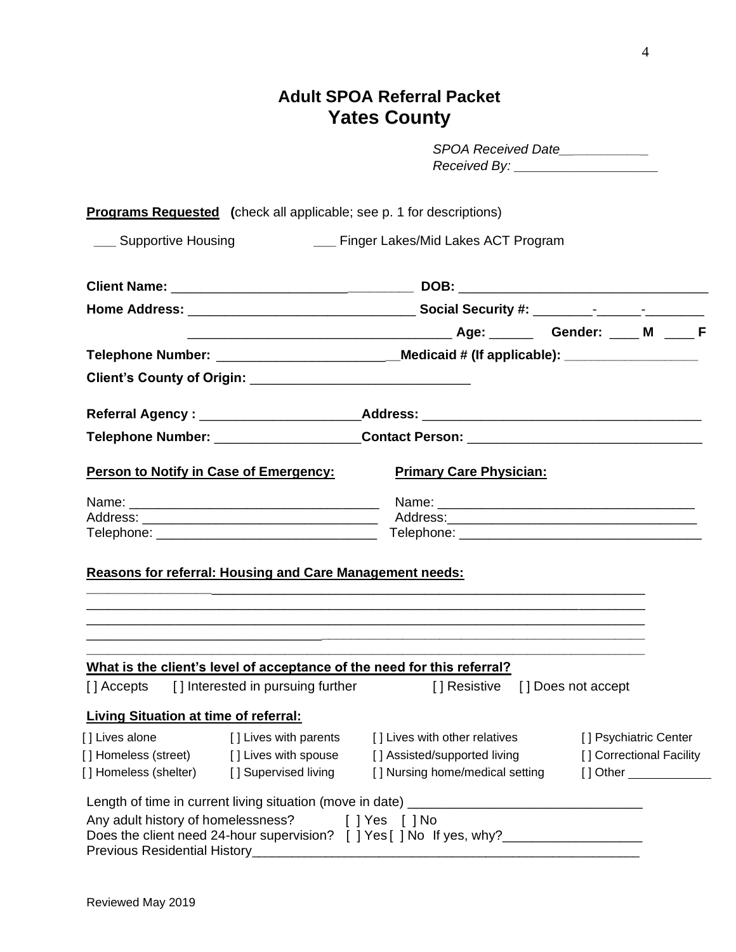# **Adult SPOA Referral Packet Yates County**

|                                                                                                                         | SPOA Received Date____________                                  |                                                  |  |  |  |
|-------------------------------------------------------------------------------------------------------------------------|-----------------------------------------------------------------|--------------------------------------------------|--|--|--|
| <b>Programs Requested</b> (check all applicable; see p. 1 for descriptions)                                             |                                                                 |                                                  |  |  |  |
| ___ Supportive Housing                                                                                                  | __ Finger Lakes/Mid Lakes ACT Program                           |                                                  |  |  |  |
|                                                                                                                         |                                                                 |                                                  |  |  |  |
|                                                                                                                         |                                                                 |                                                  |  |  |  |
|                                                                                                                         |                                                                 |                                                  |  |  |  |
| Telephone Number: ______________________________Medicaid # (If applicable): _______________________                     |                                                                 |                                                  |  |  |  |
|                                                                                                                         |                                                                 |                                                  |  |  |  |
|                                                                                                                         |                                                                 |                                                  |  |  |  |
| Referral Agency : __________________________Address: ____________________________                                       |                                                                 |                                                  |  |  |  |
| Telephone Number: _______________________Contact Person: _______________________                                        |                                                                 |                                                  |  |  |  |
| Person to Notify in Case of Emergency:                                                                                  | <b>Primary Care Physician:</b>                                  |                                                  |  |  |  |
|                                                                                                                         |                                                                 |                                                  |  |  |  |
|                                                                                                                         |                                                                 |                                                  |  |  |  |
|                                                                                                                         |                                                                 |                                                  |  |  |  |
| <b>Reasons for referral: Housing and Care Management needs:</b>                                                         |                                                                 |                                                  |  |  |  |
|                                                                                                                         |                                                                 |                                                  |  |  |  |
|                                                                                                                         |                                                                 |                                                  |  |  |  |
|                                                                                                                         |                                                                 |                                                  |  |  |  |
|                                                                                                                         |                                                                 |                                                  |  |  |  |
| What is the client's level of acceptance of the need for this referral?<br>[] Accepts [] Interested in pursuing further | [] Resistive [] Does not accept                                 |                                                  |  |  |  |
|                                                                                                                         |                                                                 |                                                  |  |  |  |
| <b>Living Situation at time of referral:</b>                                                                            |                                                                 |                                                  |  |  |  |
| [] Lives alone<br>[ ] Lives with parents                                                                                | [] Lives with other relatives                                   | [] Psychiatric Center                            |  |  |  |
| [] Homeless (street) [] Lives with spouse<br>[] Homeless (shelter) [] Supervised living                                 | [] Assisted/supported living<br>[] Nursing home/medical setting | [] Correctional Facility<br>[] Other ___________ |  |  |  |
|                                                                                                                         |                                                                 |                                                  |  |  |  |
| Any adult history of homelessness? [ ] Yes [ ] No                                                                       |                                                                 |                                                  |  |  |  |
| Does the client need 24-hour supervision? [ ] Yes [ ] No If yes, why?_______________________________                    |                                                                 |                                                  |  |  |  |
| Previous Residential History_                                                                                           |                                                                 |                                                  |  |  |  |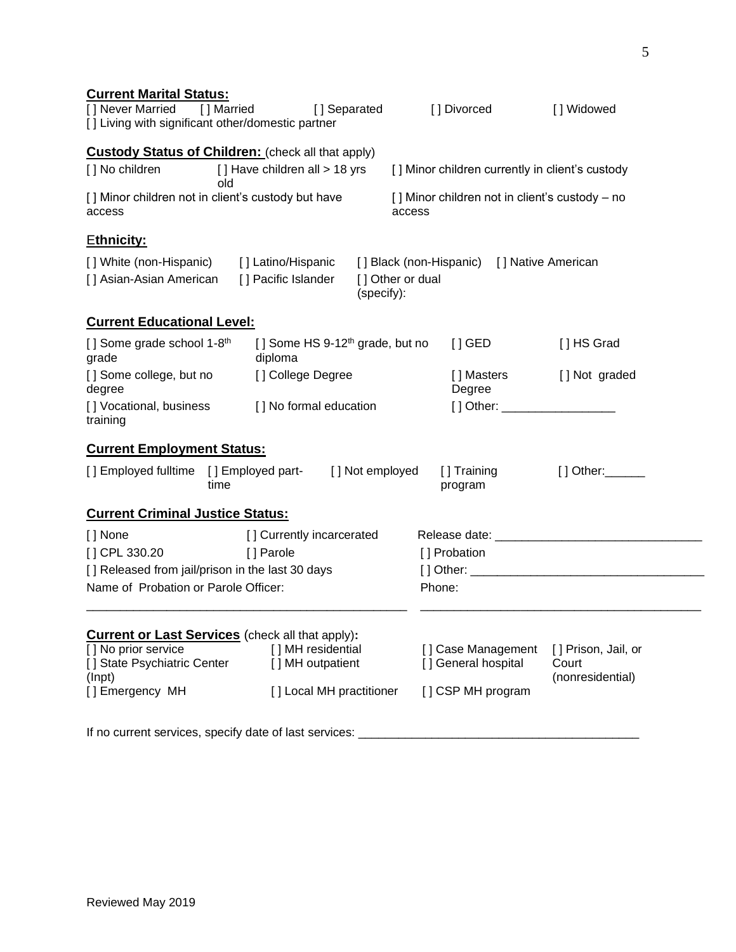| <b>Current Marital Status:</b><br>[] Never Married<br>[] Living with significant other/domestic partner | [] Married                                | [] Separated                      |                                             | [] Divorced                                     | [] Widowed                        |
|---------------------------------------------------------------------------------------------------------|-------------------------------------------|-----------------------------------|---------------------------------------------|-------------------------------------------------|-----------------------------------|
| <b>Custody Status of Children:</b> (check all that apply)                                               |                                           |                                   |                                             |                                                 |                                   |
| [] No children                                                                                          | [] Have children all > 18 yrs<br>old      |                                   |                                             | [] Minor children currently in client's custody |                                   |
| [] Minor children not in client's custody but have<br>access                                            |                                           |                                   | access                                      | [] Minor children not in client's custody - no  |                                   |
| <b>Ethnicity:</b>                                                                                       |                                           |                                   |                                             |                                                 |                                   |
| [] White (non-Hispanic)<br>[] Asian-Asian American                                                      | [] Latino/Hispanic<br>[] Pacific Islander | (specify):                        | [] Black (non-Hispanic)<br>[] Other or dual |                                                 | [] Native American                |
| <b>Current Educational Level:</b>                                                                       |                                           |                                   |                                             |                                                 |                                   |
| [] Some grade school 1-8 <sup>th</sup><br>grade                                                         | diploma                                   | [] Some HS $9-12th$ grade, but no |                                             | $[]$ GED                                        | [] HS Grad                        |
| [] Some college, but no<br>degree                                                                       | [] College Degree                         |                                   |                                             | [ ] Masters<br>Degree                           | [] Not graded                     |
| [] Vocational, business<br>training                                                                     |                                           | [] No formal education            |                                             | [] Other: ____________________                  |                                   |
| <b>Current Employment Status:</b>                                                                       |                                           |                                   |                                             |                                                 |                                   |
| [] Employed fulltime                                                                                    | [] Employed part-<br>time                 | [] Not employed                   |                                             | [] Training<br>program                          | $[ ]$ Other: $\_\_\_\_\_\_\_\_\_$ |
| <b>Current Criminal Justice Status:</b>                                                                 |                                           |                                   |                                             |                                                 |                                   |
| [] None                                                                                                 |                                           | [] Currently incarcerated         |                                             |                                                 |                                   |
| [] CPL 330.20                                                                                           | [] Parole                                 |                                   |                                             | [] Probation                                    |                                   |
| [] Released from jail/prison in the last 30 days                                                        |                                           |                                   |                                             |                                                 |                                   |
| Name of Probation or Parole Officer:                                                                    |                                           |                                   | Phone:                                      |                                                 |                                   |
| <b>Current or Last Services</b> (check all that apply):                                                 |                                           |                                   |                                             |                                                 |                                   |
| [] No prior service                                                                                     |                                           | [] MH residential                 |                                             | [] Case Management                              | [] Prison, Jail, or               |
| [] State Psychiatric Center<br>(Inpt)                                                                   |                                           | [ ] MH outpatient                 |                                             | [] General hospital                             | Court<br>(nonresidential)         |
| [] Emergency MH                                                                                         |                                           | [] Local MH practitioner          |                                             | [] CSP MH program                               |                                   |
| If no current services, specify date of last services:                                                  |                                           |                                   |                                             |                                                 |                                   |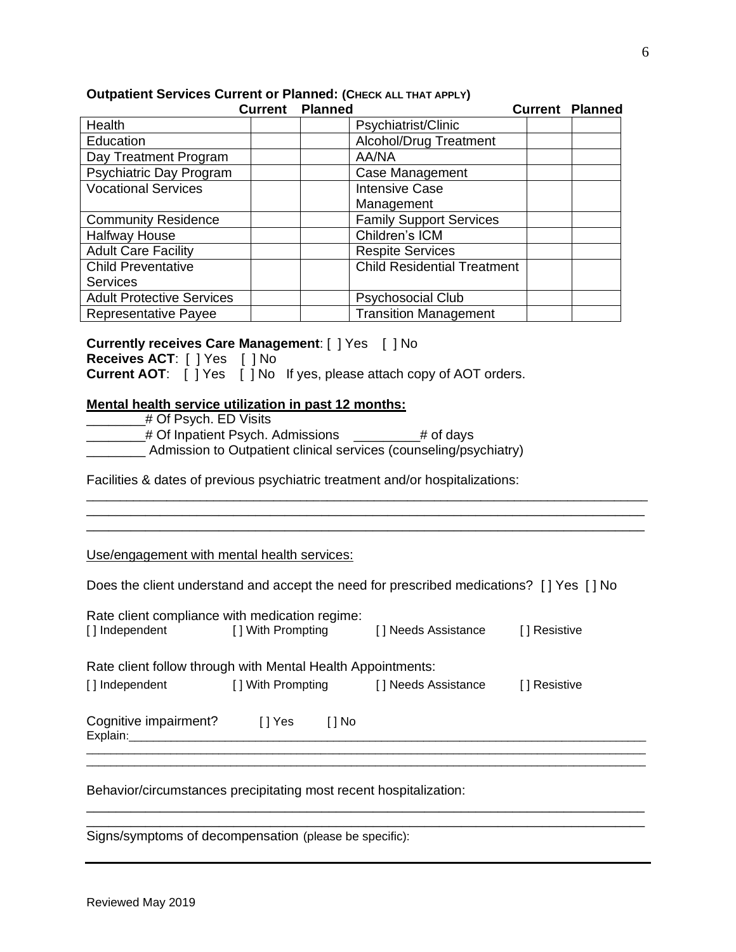|                                  | <b>Current Planned</b> |                                    | <b>Current Planned</b> |
|----------------------------------|------------------------|------------------------------------|------------------------|
| Health                           |                        | Psychiatrist/Clinic                |                        |
| Education                        |                        | Alcohol/Drug Treatment             |                        |
| Day Treatment Program            |                        | AA/NA                              |                        |
| Psychiatric Day Program          |                        | Case Management                    |                        |
| <b>Vocational Services</b>       |                        | <b>Intensive Case</b>              |                        |
|                                  |                        | Management                         |                        |
| <b>Community Residence</b>       |                        | <b>Family Support Services</b>     |                        |
| <b>Halfway House</b>             |                        | Children's ICM                     |                        |
| <b>Adult Care Facility</b>       |                        | <b>Respite Services</b>            |                        |
| <b>Child Preventative</b>        |                        | <b>Child Residential Treatment</b> |                        |
| <b>Services</b>                  |                        |                                    |                        |
| <b>Adult Protective Services</b> |                        | <b>Psychosocial Club</b>           |                        |
| <b>Representative Payee</b>      |                        | <b>Transition Management</b>       |                        |

### **Outpatient Services Current or Planned: (CHECK ALL THAT APPLY)**

#### **Currently receives Care Management**: [ ] Yes [ ] No

**Receives ACT**: [ ] Yes [ ] No

**Current AOT:** [ ] Yes [ ] No If yes, please attach copy of AOT orders.

### **Mental health service utilization in past 12 months:**

| # Of Psych. ED Visits                                             |           |
|-------------------------------------------------------------------|-----------|
| # Of Inpatient Psych. Admissions                                  | # of days |
| Admission to Outpatient clinical services (counseling/psychiatry) |           |

Facilities & dates of previous psychiatric treatment and/or hospitalizations:

#### Use/engagement with mental health services:

| Does the client understand and accept the need for prescribed medications? [] Yes [] No |  |  |
|-----------------------------------------------------------------------------------------|--|--|
|                                                                                         |  |  |

\_\_\_\_\_\_\_\_\_\_\_\_\_\_\_\_\_\_\_\_\_\_\_\_\_\_\_\_\_\_\_\_\_\_\_\_\_\_\_\_\_\_\_\_\_\_\_\_\_\_\_\_\_\_\_\_\_\_\_\_\_\_\_\_\_\_\_\_\_\_\_\_\_\_\_\_\_\_\_\_\_\_\_\_ \_\_\_\_\_\_\_\_\_\_\_\_\_\_\_\_\_\_\_\_\_\_\_\_\_\_\_\_\_\_\_\_\_\_\_\_\_\_\_\_\_\_\_\_\_\_\_\_\_\_\_\_\_\_\_\_\_\_\_\_\_\_\_\_\_\_\_\_\_\_\_\_\_\_\_\_ \_\_\_\_\_\_\_\_\_\_\_\_\_\_\_\_\_\_\_\_\_\_\_\_\_\_\_\_\_\_\_\_\_\_\_\_\_\_\_\_\_\_\_\_\_\_\_\_\_\_\_\_\_\_\_\_\_\_\_\_\_\_\_\_\_\_\_\_\_\_\_\_\_\_\_\_

| Rate client compliance with medication regime:              |                   |        |                     |               |  |  |  |  |
|-------------------------------------------------------------|-------------------|--------|---------------------|---------------|--|--|--|--|
| [] Independent                                              | [] With Prompting |        | [] Needs Assistance | [ ] Resistive |  |  |  |  |
| Rate client follow through with Mental Health Appointments: |                   |        |                     |               |  |  |  |  |
|                                                             |                   |        |                     |               |  |  |  |  |
| [] Independent                                              | [] With Prompting |        | [] Needs Assistance | [ ] Resistive |  |  |  |  |
| Cognitive impairment?<br>Explain:                           | I 1 Yes           | [ ] No |                     |               |  |  |  |  |
|                                                             |                   |        |                     |               |  |  |  |  |
|                                                             |                   |        |                     |               |  |  |  |  |

\_\_\_\_\_\_\_\_\_\_\_\_\_\_\_\_\_\_\_\_\_\_\_\_\_\_\_\_\_\_\_\_\_\_\_\_\_\_\_\_\_\_\_\_\_\_\_\_\_\_\_\_\_\_\_\_\_\_\_\_\_\_\_\_\_\_\_\_\_\_\_\_\_\_\_\_ \_\_\_\_\_\_\_\_\_\_\_\_\_\_\_\_\_\_\_\_\_\_\_\_\_\_\_\_\_\_\_\_\_\_\_\_\_\_\_\_\_\_\_\_\_\_\_\_\_\_\_\_\_\_\_\_\_\_\_\_\_\_\_\_\_\_\_\_\_\_\_\_\_\_\_\_

Behavior/circumstances precipitating most recent hospitalization:

Signs/symptoms of decompensation (please be specific):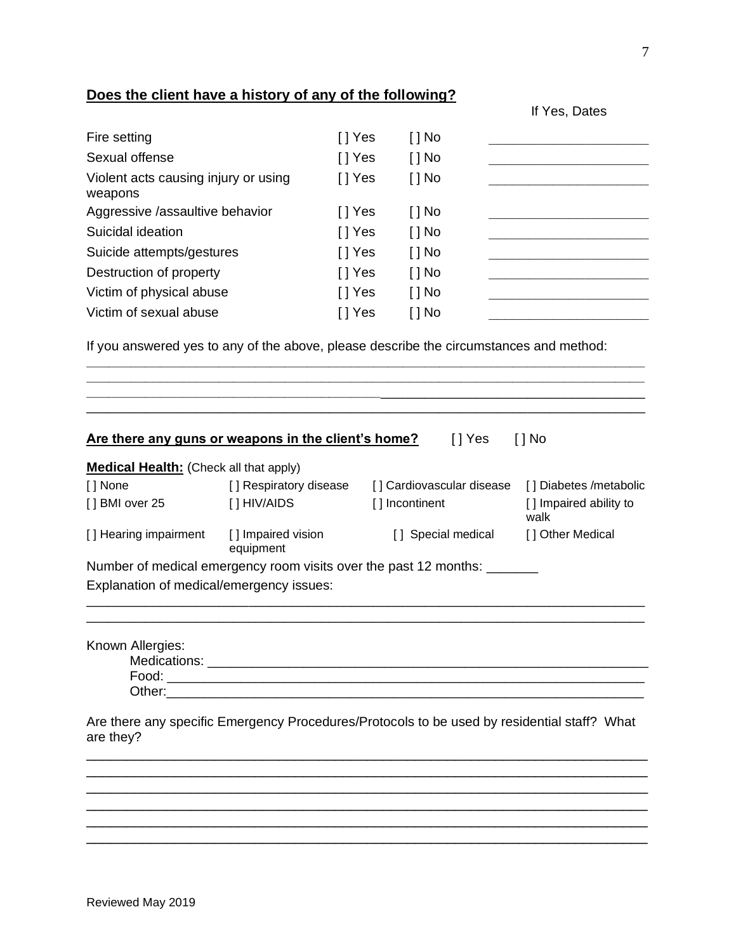## **Does the client have a history of any of the following?**

|                                                 |         |            | $\overline{11}$ $\overline{100}$ , Datos |
|-------------------------------------------------|---------|------------|------------------------------------------|
| Fire setting                                    | [ ] Yes | $[$ $]$ No |                                          |
| Sexual offense                                  | [ ] Yes | $[$ $]$ No |                                          |
| Violent acts causing injury or using<br>weapons | [ ] Yes | $[ ]$ No   |                                          |
| Aggressive /assaultive behavior                 | [ ] Yes | $[$ $]$ No |                                          |
| Suicidal ideation                               | [] Yes  | $[ ]$ No   |                                          |
| Suicide attempts/gestures                       | [ ] Yes | $[$ $]$ No |                                          |
| Destruction of property                         | [ ] Yes | $[$ $]$ No |                                          |
| Victim of physical abuse                        | [ ] Yes | $[ ]$ No   |                                          |
| Victim of sexual abuse                          | I Yes   | [ ] No     |                                          |
|                                                 |         |            |                                          |

If you answered yes to any of the above, please describe the circumstances and method:

**\_\_\_\_\_\_\_\_\_\_\_\_\_\_\_\_\_\_\_\_\_\_\_\_\_\_\_\_\_\_\_\_\_\_\_\_\_\_\_\_\_\_\_\_\_\_\_\_\_\_\_\_\_\_\_\_\_\_\_\_\_\_\_\_\_\_\_\_\_\_\_\_\_\_\_\_ \_\_\_\_\_\_\_\_\_\_\_\_\_\_\_\_\_\_\_\_\_\_\_\_\_\_\_\_\_\_\_\_\_\_\_\_\_\_\_\_\_\_\_\_\_\_\_\_\_\_\_\_\_\_\_\_\_\_\_\_\_\_\_\_\_\_\_\_\_\_\_\_\_\_\_\_ \_\_\_\_\_\_\_\_\_\_\_\_\_\_\_\_\_\_\_\_\_\_\_\_\_\_\_\_\_\_\_\_\_\_\_\_\_\_\_\_**\_\_\_\_\_\_\_\_\_\_\_\_\_\_\_\_\_\_\_\_\_\_\_\_\_\_\_\_\_\_\_\_\_\_\_\_ \_\_\_\_\_\_\_\_\_\_\_\_\_\_\_\_\_\_\_\_\_\_\_\_\_\_\_\_\_\_\_\_\_\_\_\_\_\_\_\_\_\_\_\_\_\_\_\_\_\_\_\_\_\_\_\_\_\_\_\_\_\_\_\_\_\_\_\_\_\_\_\_\_\_\_\_

| Are there any guns or weapons in the client's home? | []Yes []No |  |
|-----------------------------------------------------|------------|--|
|                                                     |            |  |

| <b>Medical Health:</b> (Check all that apply) |                                 |                                                                  |                                |
|-----------------------------------------------|---------------------------------|------------------------------------------------------------------|--------------------------------|
| [ ] None                                      | [] Respiratory disease          | [] Cardiovascular disease                                        | [] Diabetes /metabolic         |
| [] BMI over 25                                | [] HIV/AIDS                     | [] Incontinent                                                   | [] Impaired ability to<br>walk |
| [] Hearing impairment                         | [] Impaired vision<br>equipment | [] Special medical                                               | [] Other Medical               |
|                                               |                                 | Number of medical emergency room visits over the past 12 months: |                                |
| Explanation of medical/emergency issues:      |                                 |                                                                  |                                |

\_\_\_\_\_\_\_\_\_\_\_\_\_\_\_\_\_\_\_\_\_\_\_\_\_\_\_\_\_\_\_\_\_\_\_\_\_\_\_\_\_\_\_\_\_\_\_\_\_\_\_\_\_\_\_\_\_\_\_\_\_\_\_\_\_\_\_\_\_\_\_\_\_\_\_\_ \_\_\_\_\_\_\_\_\_\_\_\_\_\_\_\_\_\_\_\_\_\_\_\_\_\_\_\_\_\_\_\_\_\_\_\_\_\_\_\_\_\_\_\_\_\_\_\_\_\_\_\_\_\_\_\_\_\_\_\_\_\_\_\_\_\_\_\_\_\_\_\_\_\_\_\_

Known Allergies:

| $\overline{ }$ , worgioo. |  |
|---------------------------|--|
| Medications:              |  |
| Food:                     |  |
| Other:                    |  |

Are there any specific Emergency Procedures/Protocols to be used by residential staff? What are they?

\_\_\_\_\_\_\_\_\_\_\_\_\_\_\_\_\_\_\_\_\_\_\_\_\_\_\_\_\_\_\_\_\_\_\_\_\_\_\_\_\_\_\_\_\_\_\_\_\_\_\_\_\_\_\_\_\_\_\_\_\_\_\_\_\_\_\_\_\_\_ \_\_\_\_\_\_\_\_\_\_\_\_\_\_\_\_\_\_\_\_\_\_\_\_\_\_\_\_\_\_\_\_\_\_\_\_\_\_\_\_\_\_\_\_\_\_\_\_\_\_\_\_\_\_\_\_\_\_\_\_\_\_\_\_\_\_\_\_\_\_ \_\_\_\_\_\_\_\_\_\_\_\_\_\_\_\_\_\_\_\_\_\_\_\_\_\_\_\_\_\_\_\_\_\_\_\_\_\_\_\_\_\_\_\_\_\_\_\_\_\_\_\_\_\_\_\_\_\_\_\_\_\_\_\_\_\_\_\_\_\_ \_\_\_\_\_\_\_\_\_\_\_\_\_\_\_\_\_\_\_\_\_\_\_\_\_\_\_\_\_\_\_\_\_\_\_\_\_\_\_\_\_\_\_\_\_\_\_\_\_\_\_\_\_\_\_\_\_\_\_\_\_\_\_\_\_\_\_\_\_\_ \_\_\_\_\_\_\_\_\_\_\_\_\_\_\_\_\_\_\_\_\_\_\_\_\_\_\_\_\_\_\_\_\_\_\_\_\_\_\_\_\_\_\_\_\_\_\_\_\_\_\_\_\_\_\_\_\_\_\_\_\_\_\_\_\_\_\_\_\_\_ \_\_\_\_\_\_\_\_\_\_\_\_\_\_\_\_\_\_\_\_\_\_\_\_\_\_\_\_\_\_\_\_\_\_\_\_\_\_\_\_\_\_\_\_\_\_\_\_\_\_\_\_\_\_\_\_\_\_\_\_\_\_\_\_\_\_\_\_\_\_

If Yes, Dates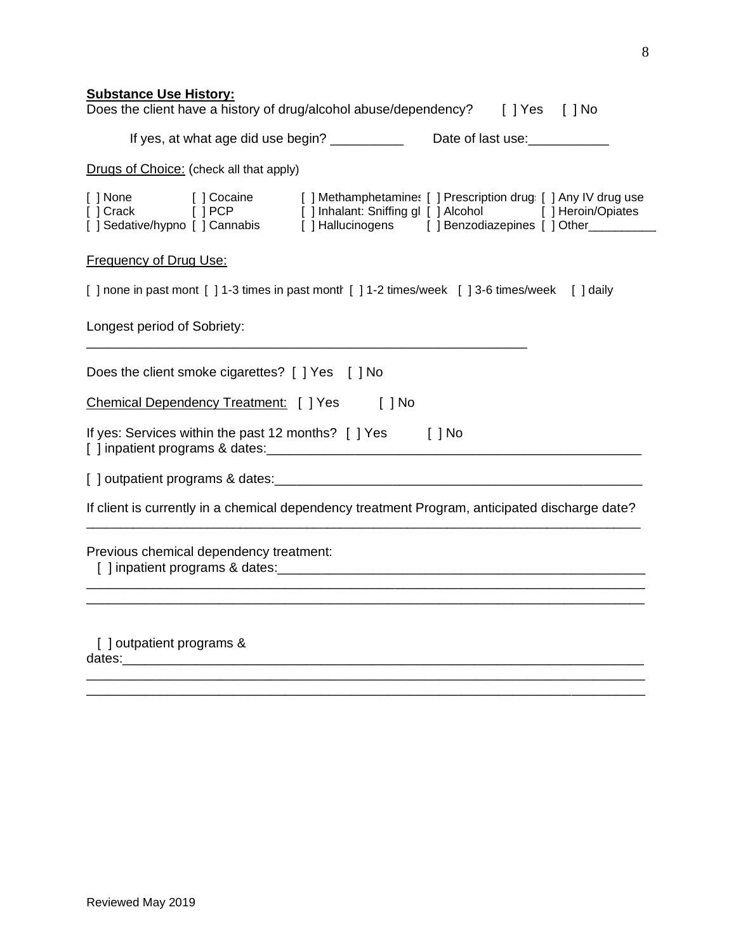## **Substance Use History:**

| Does the client have a history of drug/alcohol abuse/dependency? [] Yes [] No                                                                                                                                                  |                                                                                  |  |  |
|--------------------------------------------------------------------------------------------------------------------------------------------------------------------------------------------------------------------------------|----------------------------------------------------------------------------------|--|--|
|                                                                                                                                                                                                                                | If yes, at what age did use begin? ____________ Date of last use: ______________ |  |  |
| Drugs of Choice: (check all that apply)                                                                                                                                                                                        |                                                                                  |  |  |
| [] None [] Cocaine [] Methamphetamines [] Prescription drugs [] Any IV drug use [] Crack [] PCP [] Inhalant: Sniffing gl [] Alcohol [] Heroin/Opiates [] Sedative/hypno [] Cannabis [] Hallucinogens [] Benzodiazepines [] Oth |                                                                                  |  |  |
| <b>Frequency of Drug Use:</b>                                                                                                                                                                                                  |                                                                                  |  |  |
| [] none in past mont [] 1-3 times in past month [] 1-2 times/week [] 3-6 times/week [] daily                                                                                                                                   |                                                                                  |  |  |
| Longest period of Sobriety:                                                                                                                                                                                                    |                                                                                  |  |  |
| Does the client smoke cigarettes? [ ] Yes [ ] No                                                                                                                                                                               |                                                                                  |  |  |
| Chemical Dependency Treatment: [ ] Yes                                                                                                                                                                                         | $[$ $]$ No                                                                       |  |  |
| If yes: Services within the past 12 months? [ ] Yes [ ] No                                                                                                                                                                     |                                                                                  |  |  |
|                                                                                                                                                                                                                                |                                                                                  |  |  |
| If client is currently in a chemical dependency treatment Program, anticipated discharge date?                                                                                                                                 |                                                                                  |  |  |
| Previous chemical dependency treatment:                                                                                                                                                                                        |                                                                                  |  |  |
| [] outpatient programs &<br>dates:<br><u> 1980 - Johann Barbara, martxa alemani</u>                                                                                                                                            | <u> 1989 - Johann Stoff, amerikansk politiker (d. 1989)</u>                      |  |  |

\_\_\_\_\_\_\_\_\_\_\_\_\_\_\_\_\_\_\_\_\_\_\_\_\_\_\_\_\_\_\_\_\_\_\_\_\_\_\_\_\_\_\_\_\_\_\_\_\_\_\_\_\_\_\_\_\_\_\_\_\_\_\_\_\_\_\_\_\_\_\_\_\_\_\_\_ \_\_\_\_\_\_\_\_\_\_\_\_\_\_\_\_\_\_\_\_\_\_\_\_\_\_\_\_\_\_\_\_\_\_\_\_\_\_\_\_\_\_\_\_\_\_\_\_\_\_\_\_\_\_\_\_\_\_\_\_\_\_\_\_\_\_\_\_\_\_\_\_\_\_\_\_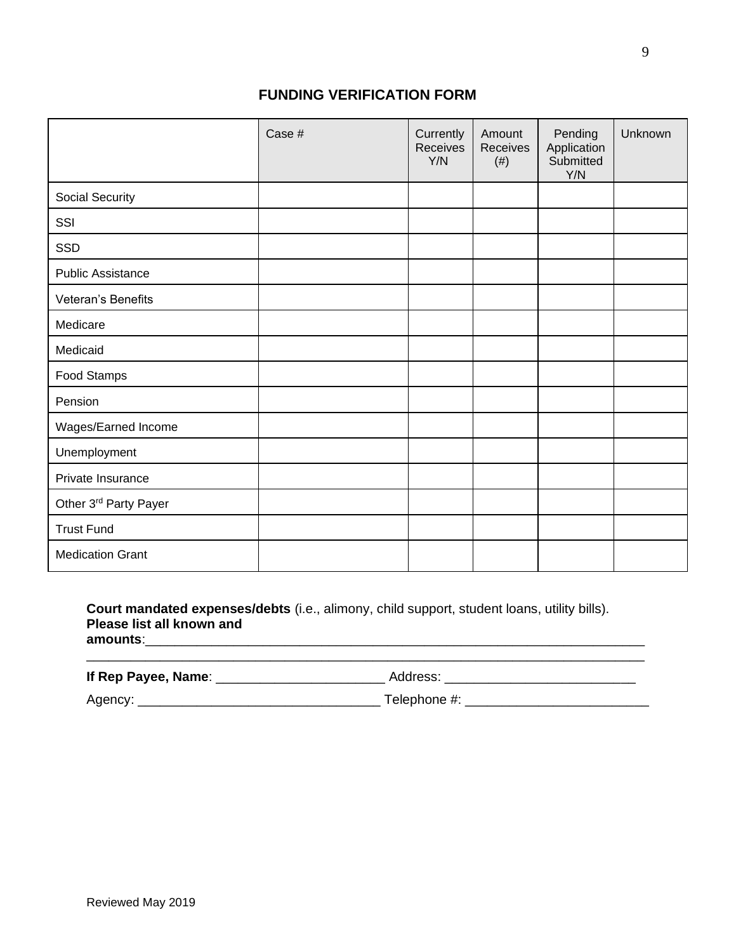## **FUNDING VERIFICATION FORM**

|                          | Case # | Currently<br>Receives<br>Y/N | Amount<br>Receives<br>$(\#)$ | Pending<br>Application<br>Submitted<br>Y/N | Unknown |
|--------------------------|--------|------------------------------|------------------------------|--------------------------------------------|---------|
| Social Security          |        |                              |                              |                                            |         |
| SSI                      |        |                              |                              |                                            |         |
| SSD                      |        |                              |                              |                                            |         |
| <b>Public Assistance</b> |        |                              |                              |                                            |         |
| Veteran's Benefits       |        |                              |                              |                                            |         |
| Medicare                 |        |                              |                              |                                            |         |
| Medicaid                 |        |                              |                              |                                            |         |
| Food Stamps              |        |                              |                              |                                            |         |
| Pension                  |        |                              |                              |                                            |         |
| Wages/Earned Income      |        |                              |                              |                                            |         |
| Unemployment             |        |                              |                              |                                            |         |
| Private Insurance        |        |                              |                              |                                            |         |
| Other 3rd Party Payer    |        |                              |                              |                                            |         |
| <b>Trust Fund</b>        |        |                              |                              |                                            |         |
| <b>Medication Grant</b>  |        |                              |                              |                                            |         |

**Court mandated expenses/debts** (i.e., alimony, child support, student loans, utility bills). **Please list all known and amounts**:\_\_\_\_\_\_\_\_\_\_\_\_\_\_\_\_\_\_\_\_\_\_\_\_\_\_\_\_\_\_\_\_\_\_\_\_\_\_\_\_\_\_\_\_\_\_\_\_\_\_\_\_\_\_\_\_\_\_\_\_\_\_\_\_\_\_\_\_

| If Rep Payee, Name: | Address:     |  |
|---------------------|--------------|--|
| Agency:             | Telephone #: |  |

\_\_\_\_\_\_\_\_\_\_\_\_\_\_\_\_\_\_\_\_\_\_\_\_\_\_\_\_\_\_\_\_\_\_\_\_\_\_\_\_\_\_\_\_\_\_\_\_\_\_\_\_\_\_\_\_\_\_\_\_\_\_\_\_\_\_\_\_\_\_\_\_\_\_\_\_